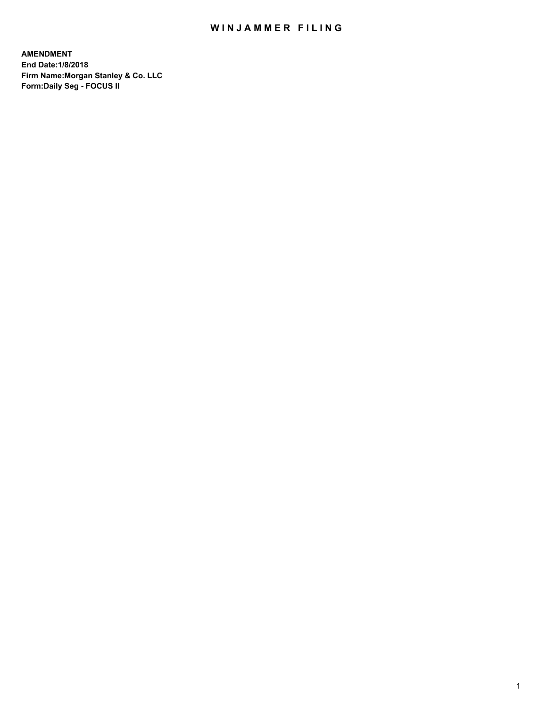## WIN JAMMER FILING

**AMENDMENT End Date:1/8/2018 Firm Name:Morgan Stanley & Co. LLC Form:Daily Seg - FOCUS II**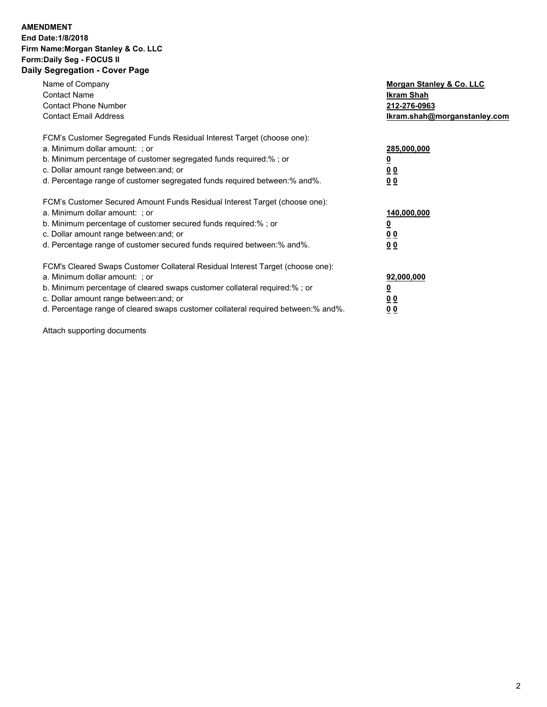#### **AMENDMENT End Date:1/8/2018 Firm Name:Morgan Stanley & Co. LLC Form:Daily Seg - FOCUS II Daily Segregation - Cover Page**

| Name of Company                                                                   | Morgan Stanley & Co. LLC     |
|-----------------------------------------------------------------------------------|------------------------------|
| <b>Contact Name</b>                                                               | Ikram Shah                   |
| <b>Contact Phone Number</b>                                                       | 212-276-0963                 |
| <b>Contact Email Address</b>                                                      | Ikram.shah@morganstanley.com |
| FCM's Customer Segregated Funds Residual Interest Target (choose one):            |                              |
| a. Minimum dollar amount: ; or                                                    | 285,000,000                  |
| b. Minimum percentage of customer segregated funds required:%; or                 |                              |
| c. Dollar amount range between: and; or                                           | 0 <sub>0</sub>               |
| d. Percentage range of customer segregated funds required between:% and%.         | 0 <sub>0</sub>               |
| FCM's Customer Secured Amount Funds Residual Interest Target (choose one):        |                              |
| a. Minimum dollar amount: ; or                                                    | 140,000,000                  |
| b. Minimum percentage of customer secured funds required:%; or                    |                              |
| c. Dollar amount range between: and; or                                           | <u>00</u>                    |
| d. Percentage range of customer secured funds required between: % and %.          | 0 <sub>0</sub>               |
| FCM's Cleared Swaps Customer Collateral Residual Interest Target (choose one):    |                              |
| a. Minimum dollar amount: ; or                                                    | 92,000,000                   |
| b. Minimum percentage of cleared swaps customer collateral required:% ; or        |                              |
| c. Dollar amount range between: and; or                                           | <u>00</u>                    |
| d. Percentage range of cleared swaps customer collateral required between:% and%. | 00                           |

Attach supporting documents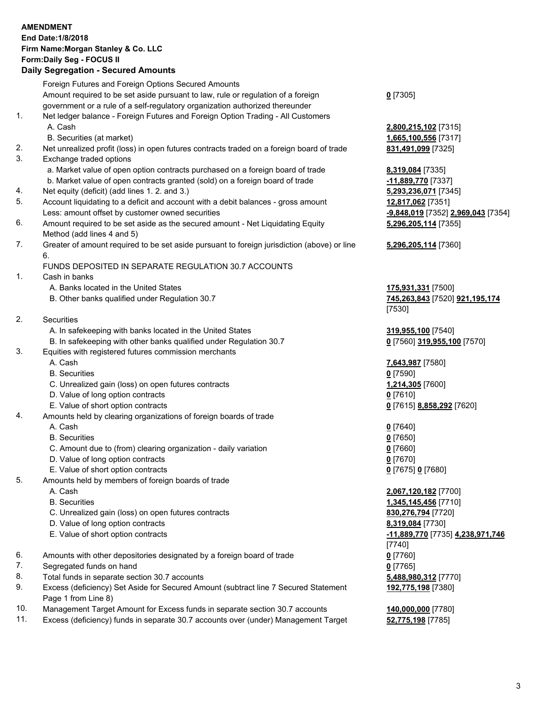### **AMENDMENT End Date:1/8/2018 Firm Name:Morgan Stanley & Co. LLC Form:Daily Seg - FOCUS II**

#### **Daily Segregation - Secured Amounts**

Foreign Futures and Foreign Options Secured Amounts Amount required to be set aside pursuant to law, rule or regulation of a foreign government or a rule of a self-regulatory organization authorized thereunder **0** [7305] 1. Net ledger balance - Foreign Futures and Foreign Option Trading - All Customers A. Cash **2,800,215,102** [7315] B. Securities (at market) **1,665,100,556** [7317] 2. Net unrealized profit (loss) in open futures contracts traded on a foreign board of trade **831,491,099** [7325] 3. Exchange traded options a. Market value of open option contracts purchased on a foreign board of trade **8,319,084** [7335] b. Market value of open contracts granted (sold) on a foreign board of trade **-11,889,770** [7337] 4. Net equity (deficit) (add lines 1. 2. and 3.) **5,293,236,071** [7345] 5. Account liquidating to a deficit and account with a debit balances - gross amount **12,817,062** [7351] Less: amount offset by customer owned securities **-9,848,019** [7352] **2,969,043** [7354] 6. Amount required to be set aside as the secured amount - Net Liquidating Equity Method (add lines 4 and 5) 7. Greater of amount required to be set aside pursuant to foreign jurisdiction (above) or line 6. FUNDS DEPOSITED IN SEPARATE REGULATION 30.7 ACCOUNTS 1. Cash in banks A. Banks located in the United States **175,931,331** [7500] B. Other banks qualified under Regulation 30.7 **745,263,843** [7520] **921,195,174** [7530] 2. Securities A. In safekeeping with banks located in the United States **319,955,100** [7540] B. In safekeeping with other banks qualified under Regulation 30.7 **0** [7560] **319,955,100** [7570] 3. Equities with registered futures commission merchants A. Cash **7,643,987** [7580] B. Securities **0** [7590] C. Unrealized gain (loss) on open futures contracts **1,214,305** [7600] D. Value of long option contracts **0** [7610] E. Value of short option contracts **0** [7615] **8,858,292** [7620] 4. Amounts held by clearing organizations of foreign boards of trade A. Cash **0** [7640] B. Securities **0** [7650] C. Amount due to (from) clearing organization - daily variation **0** [7660] D. Value of long option contracts **0** [7670] E. Value of short option contracts **0** [7675] **0** [7680] 5. Amounts held by members of foreign boards of trade A. Cash **2,067,120,182** [7700] B. Securities **1,345,145,456** [7710] C. Unrealized gain (loss) on open futures contracts **830,276,794** [7720] D. Value of long option contracts **8,319,084** [7730] E. Value of short option contracts **-11,889,770** [7735] **4,238,971,746** [7740] 6. Amounts with other depositories designated by a foreign board of trade **0** [7760] 7. Segregated funds on hand **0** [7765] 8. Total funds in separate section 30.7 accounts **5,488,980,312** [7770] 9. Excess (deficiency) Set Aside for Secured Amount (subtract line 7 Secured Statement Page 1 from Line 8)

- 10. Management Target Amount for Excess funds in separate section 30.7 accounts **140,000,000** [7780]
- 11. Excess (deficiency) funds in separate 30.7 accounts over (under) Management Target **52,775,198** [7785]

**5,296,205,114** [7355]

**5,296,205,114** [7360]

**192,775,198** [7380]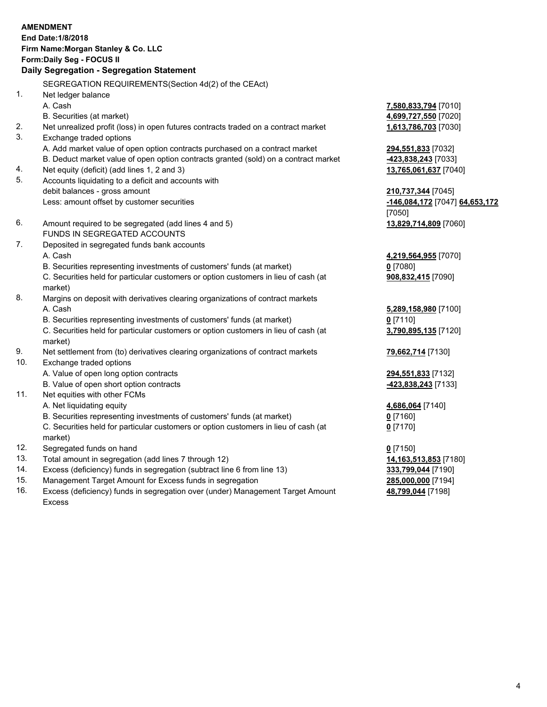#### **AMENDMENT End Date:1/8/2018 Firm Name:Morgan Stanley & Co. LLC**

**Form:Daily Seg - FOCUS II** 

# **Daily Segregation - Segregation Statement**

SEGREGATION REQUIREMENTS(Section 4d(2) of the CEAct)

- 1. Net ledger balance
	-
	- B. Securities (at market) **4,699,727,550** [7020]
- 2. Net unrealized profit (loss) in open futures contracts traded on a contract market **1,613,786,703** [7030]
- 3. Exchange traded options

A. Add market value of open option contracts purchased on a contract market **294,551,833** [7032]

- B. Deduct market value of open option contracts granted (sold) on a contract market **-423,838,243** [7033]
- 4. Net equity (deficit) (add lines 1, 2 and 3) **13,765,061,637** [7040]
- 5. Accounts liquidating to a deficit and accounts with debit balances - gross amount **210,737,344** [7045] Less: amount offset by customer securities **-146,084,172** [7047] **64,653,172**
- 6. Amount required to be segregated (add lines 4 and 5) **13,829,714,809** [7060] FUNDS IN SEGREGATED ACCOUNTS
- 7. Deposited in segregated funds bank accounts A. Cash **4,219,564,955** [7070]
	- B. Securities representing investments of customers' funds (at market) **0** [7080]

C. Securities held for particular customers or option customers in lieu of cash (at market)

- 8. Margins on deposit with derivatives clearing organizations of contract markets A. Cash **5,289,158,980** [7100]
	- B. Securities representing investments of customers' funds (at market) **0** [7110]

C. Securities held for particular customers or option customers in lieu of cash (at market)

- 9. Net settlement from (to) derivatives clearing organizations of contract markets **79,662,714** [7130]
- 10. Exchange traded options
	- A. Value of open long option contracts **294,551,833** [7132]
	- B. Value of open short option contracts **-423,838,243** [7133]
- 11. Net equities with other FCMs
	- A. Net liquidating equity **4,686,064** [7140]
	- B. Securities representing investments of customers' funds (at market) **0** [7160]

C. Securities held for particular customers or option customers in lieu of cash (at market)

- 12. Segregated funds on hand **0** [7150]
- 13. Total amount in segregation (add lines 7 through 12) **14,163,513,853** [7180]
- 14. Excess (deficiency) funds in segregation (subtract line 6 from line 13) **333,799,044** [7190]
- 15. Management Target Amount for Excess funds in segregation **285,000,000** [7194]
- 16. Excess (deficiency) funds in segregation over (under) Management Target Amount Excess

A. Cash **7,580,833,794** [7010]

[7050]

**908,832,415** [7090]

**3,790,895,135** [7120]

**0** [7170]

**48,799,044** [7198]